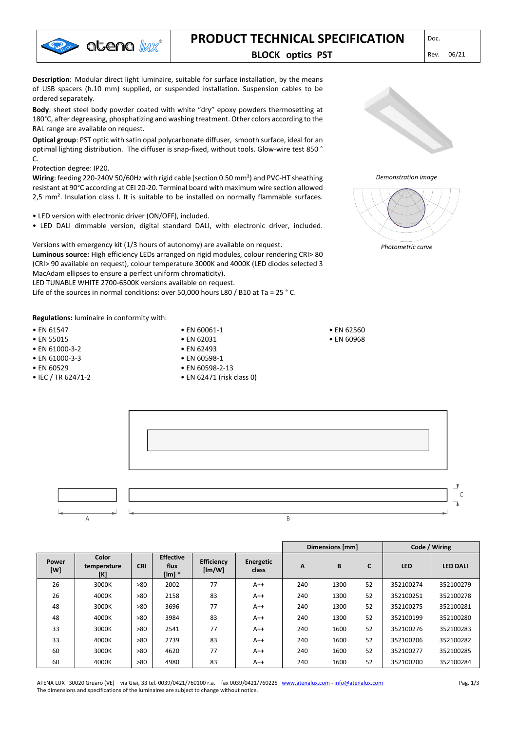

# **PRODUCT TECHNICAL SPECIFICATION** DDCC.

# **BLOCK optics PST** Rev. 06/21

**Description**: Modular direct light luminaire, suitable for surface installation, by the means of USB spacers (h.10 mm) supplied, or suspended installation. Suspension cables to be ordered separately.

**Body**: sheet steel body powder coated with white "dry" epoxy powders thermosetting at 180°C, after degreasing, phosphatizing and washing treatment. Other colors according to the RAL range are available on request.

**Optical group**: PST optic with satin opal polycarbonate diffuser, smooth surface, ideal for an optimal lighting distribution. The diffuser is snap-fixed, without tools. Glow-wire test 850 ° C.

#### Protection degree: IP20.

**Wiring**: feeding 220-240V 50/60Hz with rigid cable (section 0.50 mm²) and PVC-HT sheathing resistant at 90°C according at CEI 20-20. Terminal board with maximum wire section allowed 2,5 mm². Insulation class I. It is suitable to be installed on normally flammable surfaces.

- LED version with electronic driver (ON/OFF), included.
- LED DALI dimmable version, digital standard DALI, with electronic driver, included.

Versions with emergency kit (1/3 hours of autonomy) are available on request. **Luminous source:** High efficiency LEDs arranged on rigid modules, colour rendering CRI> 80 (CRI> 90 available on request), colour temperature 3000K and 4000K (LED diodes selected 3 MacAdam ellipses to ensure a perfect uniform chromaticity).

LED TUNABLE WHITE 2700-6500K versions available on request.

Life of the sources in normal conditions: over 50,000 hours L80 / B10 at Ta = 25 ° C.

**Regulations:** luminaire in conformity with:

- EN 61547
- EN 55015
- EN 61000-3-2
- EN 61000-3-3
- EN 60529
- IEC / TR 62471-2

• EN 62031 • EN 62493 • EN 60598-1 • EN 60598-2-13

• EN 60061-1

• EN 62471 (risk class 0)



#### *Demonstration image*





y  $\mathsf{C}$ **A**  $\overline{R}$ 

|              |                             |            |                                  |                             |                    | Dimensions [mm] |      |    | Code / Wiring |                 |
|--------------|-----------------------------|------------|----------------------------------|-----------------------------|--------------------|-----------------|------|----|---------------|-----------------|
| Power<br>[W] | Color<br>temperature<br>[K] | <b>CRI</b> | <b>Effective</b><br>flux<br>[Im] | <b>Efficiency</b><br>[Im/W] | Energetic<br>class | A               | B    | C  | <b>LED</b>    | <b>LED DALI</b> |
| 26           | 3000K                       | >80        | 2002                             | 77                          | $A++$              | 240             | 1300 | 52 | 352100274     | 352100279       |
| 26           | 4000K                       | >80        | 2158                             | 83                          | $A++$              | 240             | 1300 | 52 | 352100251     | 352100278       |
| 48           | 3000K                       | >80        | 3696                             | 77                          | $A++$              | 240             | 1300 | 52 | 352100275     | 352100281       |
| 48           | 4000K                       | >80        | 3984                             | 83                          | $A++$              | 240             | 1300 | 52 | 352100199     | 352100280       |
| 33           | 3000K                       | >80        | 2541                             | 77                          | $A++$              | 240             | 1600 | 52 | 352100276     | 352100283       |
| 33           | 4000K                       | >80        | 2739                             | 83                          | $A++$              | 240             | 1600 | 52 | 352100206     | 352100282       |
| 60           | 3000K                       | >80        | 4620                             | 77                          | $A++$              | 240             | 1600 | 52 | 352100277     | 352100285       |
| 60           | 4000K                       | >80        | 4980                             | 83                          | $A++$              | 240             | 1600 | 52 | 352100200     | 352100284       |

ATENA LUX 30020 Gruaro (VE) – via Giai, 33 tel. 0039/0421/760100 r.a. – fax 0039/0421/760225 [www.atenalux.com](http://www.atenalux.com/) - [info@atenalux.com](mailto:info@atenalux.com) The dimensions and specifications of the luminaires are subject to change without notice.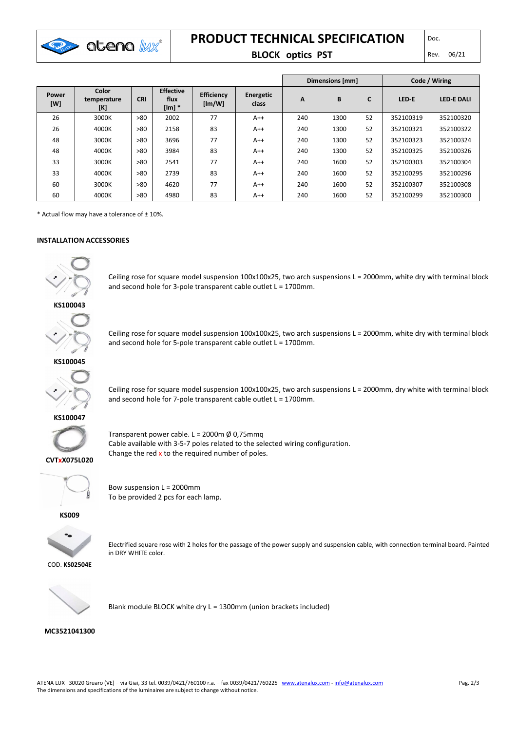

# **PRODUCT TECHNICAL SPECIFICATION**

# **BLOCK optics PST** Rev. 06/21

|              |                             | Dimensions [mm] |                                  |                             |                    |     | Code / Wiring |    |           |                   |
|--------------|-----------------------------|-----------------|----------------------------------|-----------------------------|--------------------|-----|---------------|----|-----------|-------------------|
| Power<br>[W] | Color<br>temperature<br>[K] | <b>CRI</b>      | <b>Effective</b><br>flux<br>[Im] | <b>Efficiency</b><br>[Im/W] | Energetic<br>class | A   | B             | C  | LED-E     | <b>LED E DALI</b> |
| 26           | 3000K                       | >80             | 2002                             | 77                          | $A++$              | 240 | 1300          | 52 | 352100319 | 352100320         |
| 26           | 4000K                       | >80             | 2158                             | 83                          | $A++$              | 240 | 1300          | 52 | 352100321 | 352100322         |
| 48           | 3000K                       | >80             | 3696                             | 77                          | $A++$              | 240 | 1300          | 52 | 352100323 | 352100324         |
| 48           | 4000K                       | >80             | 3984                             | 83                          | $A++$              | 240 | 1300          | 52 | 352100325 | 352100326         |
| 33           | 3000K                       | >80             | 2541                             | 77                          | $A++$              | 240 | 1600          | 52 | 352100303 | 352100304         |
| 33           | 4000K                       | >80             | 2739                             | 83                          | $A++$              | 240 | 1600          | 52 | 352100295 | 352100296         |
| 60           | 3000K                       | >80             | 4620                             | 77                          | $A++$              | 240 | 1600          | 52 | 352100307 | 352100308         |
| 60           | 4000K                       | >80             | 4980                             | 83                          | $A++$              | 240 | 1600          | 52 | 352100299 | 352100300         |

 $*$  Actual flow may have a tolerance of  $\pm$  10%.

#### **INSTALLATION ACCESSORIES**



Ceiling rose for square model suspension 100x100x25, two arch suspensions L = 2000mm, white dry with terminal block and second hole for 3-pole transparent cable outlet L = 1700mm.



Ceiling rose for square model suspension 100x100x25, two arch suspensions L = 2000mm, white dry with terminal block and second hole for 5-pole transparent cable outlet L = 1700mm.



Ceiling rose for square model suspension 100x100x25, two arch suspensions L = 2000mm, dry white with terminal block and second hole for 7-pole transparent cable outlet L = 1700mm.





Transparent power cable. L = 2000m  $\emptyset$  0,75mmq Cable available with 3-5-7 poles related to the selected wiring configuration. Change the red  $x$  to the required number of poles.



Bow suspension L = 2000mm To be provided 2 pcs for each lamp.

**KS009**



Electrified square rose with 2 holes for the passage of the power supply and suspension cable, with connection terminal board. Painted in DRY WHITE color.



Blank module BLOCK white dry L = 1300mm (union brackets included)

#### **MC3521041300**